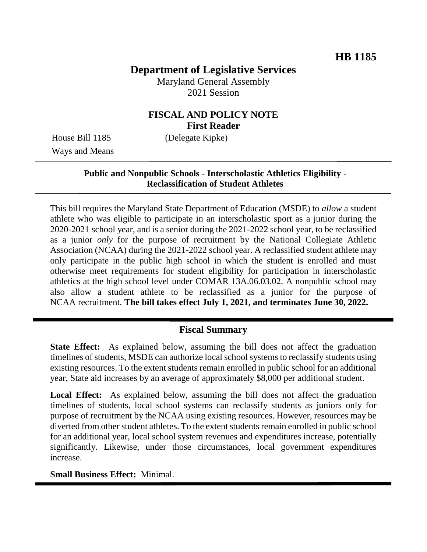# **Department of Legislative Services**

Maryland General Assembly 2021 Session

# **FISCAL AND POLICY NOTE First Reader**

Ways and Means

House Bill 1185 (Delegate Kipke)

### **Public and Nonpublic Schools - Interscholastic Athletics Eligibility - Reclassification of Student Athletes**

This bill requires the Maryland State Department of Education (MSDE) to *allow* a student athlete who was eligible to participate in an interscholastic sport as a junior during the 2020-2021 school year, and is a senior during the 2021-2022 school year, to be reclassified as a junior *only* for the purpose of recruitment by the National Collegiate Athletic Association (NCAA) during the 2021-2022 school year. A reclassified student athlete may only participate in the public high school in which the student is enrolled and must otherwise meet requirements for student eligibility for participation in interscholastic athletics at the high school level under COMAR 13A.06.03.02. A nonpublic school may also allow a student athlete to be reclassified as a junior for the purpose of NCAA recruitment. **The bill takes effect July 1, 2021, and terminates June 30, 2022.** 

# **Fiscal Summary**

**State Effect:** As explained below, assuming the bill does not affect the graduation timelines of students, MSDE can authorize local school systems to reclassify students using existing resources. To the extent students remain enrolled in public school for an additional year, State aid increases by an average of approximately \$8,000 per additional student.

Local Effect: As explained below, assuming the bill does not affect the graduation timelines of students, local school systems can reclassify students as juniors only for purpose of recruitment by the NCAA using existing resources. However, resources may be diverted from other student athletes. To the extent students remain enrolled in public school for an additional year, local school system revenues and expenditures increase, potentially significantly. Likewise, under those circumstances, local government expenditures increase.

#### **Small Business Effect:** Minimal.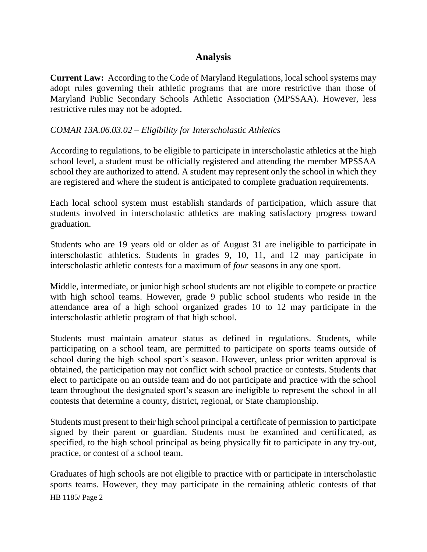## **Analysis**

**Current Law:** According to the Code of Maryland Regulations, local school systems may adopt rules governing their athletic programs that are more restrictive than those of Maryland Public Secondary Schools Athletic Association (MPSSAA). However, less restrictive rules may not be adopted.

#### *COMAR 13A.06.03.02 – Eligibility for Interscholastic Athletics*

According to regulations, to be eligible to participate in interscholastic athletics at the high school level, a student must be officially registered and attending the member MPSSAA school they are authorized to attend. A student may represent only the school in which they are registered and where the student is anticipated to complete graduation requirements.

Each local school system must establish standards of participation, which assure that students involved in interscholastic athletics are making satisfactory progress toward graduation.

Students who are 19 years old or older as of August 31 are ineligible to participate in interscholastic athletics. Students in grades 9, 10, 11, and 12 may participate in interscholastic athletic contests for a maximum of *four* seasons in any one sport.

Middle, intermediate, or junior high school students are not eligible to compete or practice with high school teams. However, grade 9 public school students who reside in the attendance area of a high school organized grades 10 to 12 may participate in the interscholastic athletic program of that high school.

Students must maintain amateur status as defined in regulations. Students, while participating on a school team, are permitted to participate on sports teams outside of school during the high school sport's season. However, unless prior written approval is obtained, the participation may not conflict with school practice or contests. Students that elect to participate on an outside team and do not participate and practice with the school team throughout the designated sport's season are ineligible to represent the school in all contests that determine a county, district, regional, or State championship.

Students must present to their high school principal a certificate of permission to participate signed by their parent or guardian. Students must be examined and certificated, as specified, to the high school principal as being physically fit to participate in any try-out, practice, or contest of a school team.

HB 1185/ Page 2 Graduates of high schools are not eligible to practice with or participate in interscholastic sports teams. However, they may participate in the remaining athletic contests of that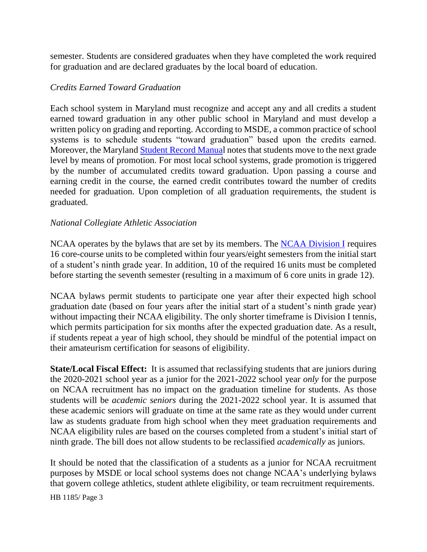semester. Students are considered graduates when they have completed the work required for graduation and are declared graduates by the local board of education.

### *Credits Earned Toward Graduation*

Each school system in Maryland must recognize and accept any and all credits a student earned toward graduation in any other public school in Maryland and must develop a written policy on grading and reporting. According to MSDE, a common practice of school systems is to schedule students "toward graduation" based upon the credits earned. Moreover, the Maryland [Student Record Manual](http://marylandpublicschools.org/about/Documents/OCP/Publications/StudentRecordsSystemManual2020.pdf) notes that students move to the next grade level by means of promotion. For most local school systems, grade promotion is triggered by the number of accumulated credits toward graduation. Upon passing a course and earning credit in the course, the earned credit contributes toward the number of credits needed for graduation. Upon completion of all graduation requirements, the student is graduated.

#### *National Collegiate Athletic Association*

NCAA operates by the bylaws that are set by its members. The [NCAA Division I](http://fs.ncaa.org/Docs/eligibility_center/Student_Resources/DI_ReqsFactSheet.pdf) requires 16 core-course units to be completed within four years/eight semesters from the initial start of a student's ninth grade year. In addition, 10 of the required 16 units must be completed before starting the seventh semester (resulting in a maximum of 6 core units in grade 12).

NCAA bylaws permit students to participate one year after their expected high school graduation date (based on four years after the initial start of a student's ninth grade year) without impacting their NCAA eligibility. The only shorter timeframe is Division I tennis, which permits participation for six months after the expected graduation date. As a result, if students repeat a year of high school, they should be mindful of the potential impact on their amateurism certification for seasons of eligibility.

**State/Local Fiscal Effect:** It is assumed that reclassifying students that are juniors during the 2020-2021 school year as a junior for the 2021-2022 school year *only* for the purpose on NCAA recruitment has no impact on the graduation timeline for students. As those students will be *academic seniors* during the 2021-2022 school year. It is assumed that these academic seniors will graduate on time at the same rate as they would under current law as students graduate from high school when they meet graduation requirements and NCAA eligibility rules are based on the courses completed from a student's initial start of ninth grade. The bill does not allow students to be reclassified *academically* as juniors.

It should be noted that the classification of a students as a junior for NCAA recruitment purposes by MSDE or local school systems does not change NCAA's underlying bylaws that govern college athletics, student athlete eligibility, or team recruitment requirements.